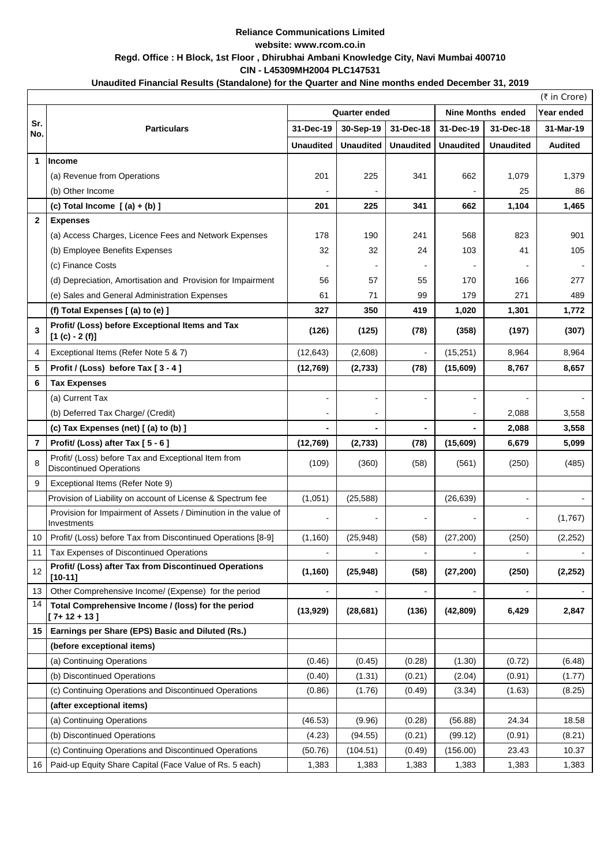| (₹ in Crore)            |                                                                                       |                      |                          |                  |                          |                          |                |  |  |  |  |  |
|-------------------------|---------------------------------------------------------------------------------------|----------------------|--------------------------|------------------|--------------------------|--------------------------|----------------|--|--|--|--|--|
|                         |                                                                                       | <b>Quarter ended</b> |                          |                  | <b>Nine Months ended</b> |                          | Year ended     |  |  |  |  |  |
| Sr.<br>No.              | <b>Particulars</b>                                                                    | 31-Dec-19            | 30-Sep-19                | 31-Dec-18        | 31-Dec-19                | 31-Dec-18                | 31-Mar-19      |  |  |  |  |  |
|                         |                                                                                       | <b>Unaudited</b>     | <b>Unaudited</b>         | <b>Unaudited</b> | <b>Unaudited</b>         | <b>Unaudited</b>         | <b>Audited</b> |  |  |  |  |  |
| $\mathbf 1$             | Income                                                                                |                      |                          |                  |                          |                          |                |  |  |  |  |  |
|                         | (a) Revenue from Operations                                                           | 201                  | 225                      | 341              | 662                      | 1,079                    | 1,379          |  |  |  |  |  |
|                         | (b) Other Income                                                                      |                      |                          |                  |                          | 25                       | 86             |  |  |  |  |  |
|                         | (c) Total Income $($ (a) + (b) ]                                                      | 201                  | 225                      | 341              | 662                      | 1,104                    | 1,465          |  |  |  |  |  |
| $\overline{\mathbf{2}}$ | <b>Expenses</b>                                                                       |                      |                          |                  |                          |                          |                |  |  |  |  |  |
|                         | (a) Access Charges, Licence Fees and Network Expenses                                 | 178                  | 190                      | 241              | 568                      | 823                      | 901            |  |  |  |  |  |
|                         | (b) Employee Benefits Expenses                                                        | 32                   | 32                       | 24               | 103                      | 41                       | 105            |  |  |  |  |  |
|                         | (c) Finance Costs                                                                     |                      |                          |                  |                          |                          |                |  |  |  |  |  |
|                         | (d) Depreciation, Amortisation and Provision for Impairment                           | 56                   | 57                       | 55               | 170                      | 166                      | 277            |  |  |  |  |  |
|                         | (e) Sales and General Administration Expenses                                         | 61                   | 71                       | 99               | 179                      | 271                      | 489            |  |  |  |  |  |
|                         | (f) Total Expenses [(a) to (e) ]                                                      | 327                  | 350                      | 419              | 1,020                    | 1,301                    | 1,772          |  |  |  |  |  |
| $\overline{3}$          | Profit/ (Loss) before Exceptional Items and Tax<br>$[1 (c) - 2 (f)]$                  | (126)                | (125)                    | (78)             | (358)                    | (197)                    | (307)          |  |  |  |  |  |
| 4                       | Exceptional Items (Refer Note 5 & 7)                                                  | (12, 643)            | (2,608)                  |                  | (15,251)                 | 8,964                    | 8,964          |  |  |  |  |  |
| 5                       | Profit / (Loss) before Tax [3 - 4]                                                    | (12,769)             | (2,733)                  | (78)             | (15,609)                 | 8,767                    | 8,657          |  |  |  |  |  |
| 6                       | <b>Tax Expenses</b>                                                                   |                      |                          |                  |                          |                          |                |  |  |  |  |  |
|                         | (a) Current Tax                                                                       |                      |                          |                  |                          |                          |                |  |  |  |  |  |
|                         | (b) Deferred Tax Charge/ (Credit)                                                     |                      | $\overline{\phantom{a}}$ |                  |                          | 2,088                    | 3,558          |  |  |  |  |  |
|                         | (c) Tax Expenses (net) [ (a) to (b) ]                                                 |                      |                          |                  |                          | 2,088                    | 3,558          |  |  |  |  |  |
| $\overline{7}$          | Profit/ (Loss) after Tax [5 - 6]                                                      | (12, 769)            | (2,733)                  | (78)             | (15,609)                 | 6,679                    | 5,099          |  |  |  |  |  |
| 8                       | Profit/ (Loss) before Tax and Exceptional Item from<br><b>Discontinued Operations</b> | (109)                | (360)                    | (58)             | (561)                    | (250)                    | (485)          |  |  |  |  |  |
| 9                       | Exceptional Items (Refer Note 9)                                                      |                      |                          |                  |                          |                          |                |  |  |  |  |  |
|                         | Provision of Liability on account of License & Spectrum fee                           | (1,051)              | (25, 588)                |                  | (26, 639)                | $\blacksquare$           |                |  |  |  |  |  |
|                         | Provision for Impairment of Assets / Diminution in the value of<br>Investments        |                      |                          |                  |                          |                          | (1,767)        |  |  |  |  |  |
| 10                      | Profit/ (Loss) before Tax from Discontinued Operations [8-9]                          | (1, 160)             | (25, 948)                | (58)             | (27, 200)                | (250)                    | (2, 252)       |  |  |  |  |  |
| 11                      | Tax Expenses of Discontinued Operations                                               |                      |                          |                  |                          |                          |                |  |  |  |  |  |
| 12                      | Profit/ (Loss) after Tax from Discontinued Operations<br>$[10 - 11]$                  | (1, 160)             | (25, 948)                | (58)             | (27, 200)                | (250)                    | (2, 252)       |  |  |  |  |  |
| 13                      | Other Comprehensive Income/ (Expense) for the period                                  |                      |                          |                  |                          | $\overline{\phantom{a}}$ |                |  |  |  |  |  |
| 14                      | Total Comprehensive Income / (loss) for the period<br>$[7+12+13]$                     | (13, 929)            | (28, 681)                | (136)            | (42, 809)                | 6,429                    | 2,847          |  |  |  |  |  |
| 15                      | Earnings per Share (EPS) Basic and Diluted (Rs.)                                      |                      |                          |                  |                          |                          |                |  |  |  |  |  |
|                         | (before exceptional items)                                                            |                      |                          |                  |                          |                          |                |  |  |  |  |  |
|                         | (a) Continuing Operations                                                             | (0.46)               | (0.45)                   | (0.28)           | (1.30)                   | (0.72)                   | (6.48)         |  |  |  |  |  |
|                         | (b) Discontinued Operations                                                           | (0.40)               | (1.31)                   | (0.21)           | (2.04)                   | (0.91)                   | (1.77)         |  |  |  |  |  |
|                         | (c) Continuing Operations and Discontinued Operations                                 | (0.86)               | (1.76)                   | (0.49)           | (3.34)                   | (1.63)                   | (8.25)         |  |  |  |  |  |
|                         | (after exceptional items)                                                             |                      |                          |                  |                          |                          |                |  |  |  |  |  |
|                         | (a) Continuing Operations                                                             | (46.53)              | (9.96)                   | (0.28)           | (56.88)                  | 24.34                    | 18.58          |  |  |  |  |  |
|                         | (b) Discontinued Operations                                                           | (4.23)               | (94.55)                  | (0.21)           | (99.12)                  | (0.91)                   | (8.21)         |  |  |  |  |  |
|                         | (c) Continuing Operations and Discontinued Operations                                 | (50.76)              | (104.51)                 | (0.49)           | (156.00)                 | 23.43                    | 10.37          |  |  |  |  |  |
| 16                      | Paid-up Equity Share Capital (Face Value of Rs. 5 each)                               | 1,383                | 1,383                    | 1,383            | 1,383                    | 1,383                    | 1,383          |  |  |  |  |  |

## **Reliance Communications Limited website: www.rcom.co.in Regd. Office : H Block, 1st Floor , Dhirubhai Ambani Knowledge City, Navi Mumbai 400710 CIN - L45309MH2004 PLC147531**

## **Unaudited Financial Results (Standalone) for the Quarter and Nine months ended December 31, 2019**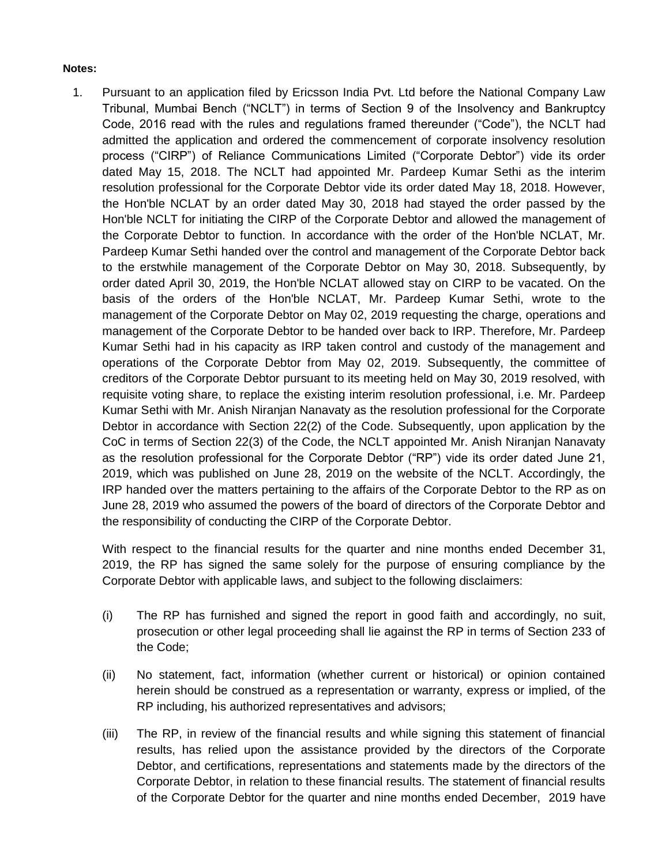## **Notes:**

1. Pursuant to an application filed by Ericsson India Pvt. Ltd before the National Company Law Tribunal, Mumbai Bench ("NCLT") in terms of Section 9 of the Insolvency and Bankruptcy Code, 2016 read with the rules and regulations framed thereunder ("Code"), the NCLT had admitted the application and ordered the commencement of corporate insolvency resolution process ("CIRP") of Reliance Communications Limited ("Corporate Debtor") vide its order dated May 15, 2018. The NCLT had appointed Mr. Pardeep Kumar Sethi as the interim resolution professional for the Corporate Debtor vide its order dated May 18, 2018. However, the Hon'ble NCLAT by an order dated May 30, 2018 had stayed the order passed by the Hon'ble NCLT for initiating the CIRP of the Corporate Debtor and allowed the management of the Corporate Debtor to function. In accordance with the order of the Hon'ble NCLAT, Mr. Pardeep Kumar Sethi handed over the control and management of the Corporate Debtor back to the erstwhile management of the Corporate Debtor on May 30, 2018. Subsequently, by order dated April 30, 2019, the Hon'ble NCLAT allowed stay on CIRP to be vacated. On the basis of the orders of the Hon'ble NCLAT, Mr. Pardeep Kumar Sethi, wrote to the management of the Corporate Debtor on May 02, 2019 requesting the charge, operations and management of the Corporate Debtor to be handed over back to IRP. Therefore, Mr. Pardeep Kumar Sethi had in his capacity as IRP taken control and custody of the management and operations of the Corporate Debtor from May 02, 2019. Subsequently, the committee of creditors of the Corporate Debtor pursuant to its meeting held on May 30, 2019 resolved, with requisite voting share, to replace the existing interim resolution professional, i.e. Mr. Pardeep Kumar Sethi with Mr. Anish Niranjan Nanavaty as the resolution professional for the Corporate Debtor in accordance with Section 22(2) of the Code. Subsequently, upon application by the CoC in terms of Section 22(3) of the Code, the NCLT appointed Mr. Anish Niranjan Nanavaty as the resolution professional for the Corporate Debtor ("RP") vide its order dated June 21, 2019, which was published on June 28, 2019 on the website of the NCLT. Accordingly, the IRP handed over the matters pertaining to the affairs of the Corporate Debtor to the RP as on June 28, 2019 who assumed the powers of the board of directors of the Corporate Debtor and the responsibility of conducting the CIRP of the Corporate Debtor.

With respect to the financial results for the quarter and nine months ended December 31, 2019, the RP has signed the same solely for the purpose of ensuring compliance by the Corporate Debtor with applicable laws, and subject to the following disclaimers:

- (i) The RP has furnished and signed the report in good faith and accordingly, no suit, prosecution or other legal proceeding shall lie against the RP in terms of Section 233 of the Code;
- (ii) No statement, fact, information (whether current or historical) or opinion contained herein should be construed as a representation or warranty, express or implied, of the RP including, his authorized representatives and advisors;
- (iii) The RP, in review of the financial results and while signing this statement of financial results, has relied upon the assistance provided by the directors of the Corporate Debtor, and certifications, representations and statements made by the directors of the Corporate Debtor, in relation to these financial results. The statement of financial results of the Corporate Debtor for the quarter and nine months ended December, 2019 have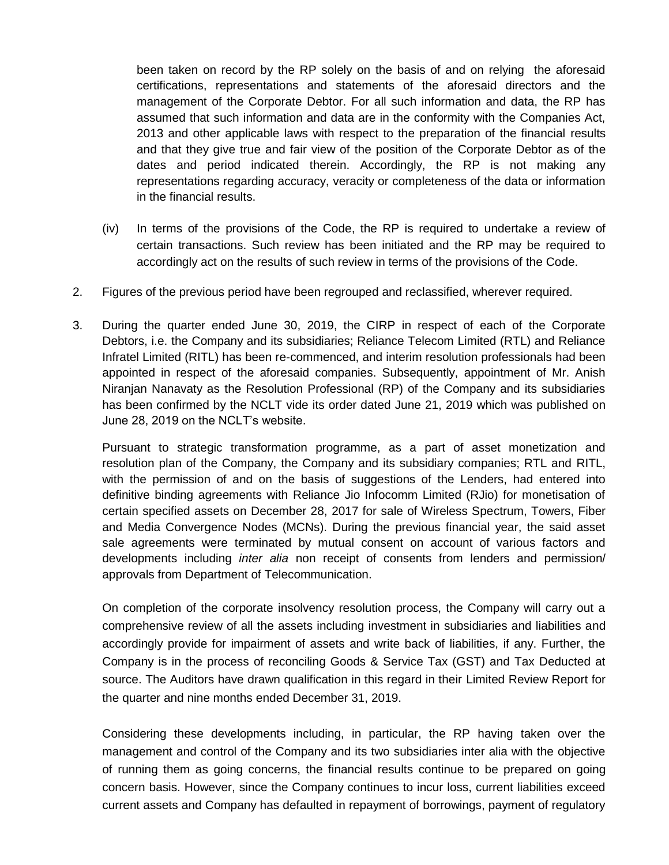been taken on record by the RP solely on the basis of and on relying the aforesaid certifications, representations and statements of the aforesaid directors and the management of the Corporate Debtor. For all such information and data, the RP has assumed that such information and data are in the conformity with the Companies Act, 2013 and other applicable laws with respect to the preparation of the financial results and that they give true and fair view of the position of the Corporate Debtor as of the dates and period indicated therein. Accordingly, the RP is not making any representations regarding accuracy, veracity or completeness of the data or information in the financial results.

- (iv) In terms of the provisions of the Code, the RP is required to undertake a review of certain transactions. Such review has been initiated and the RP may be required to accordingly act on the results of such review in terms of the provisions of the Code.
- 2. Figures of the previous period have been regrouped and reclassified, wherever required.
- 3. During the quarter ended June 30, 2019, the CIRP in respect of each of the Corporate Debtors, i.e. the Company and its subsidiaries; Reliance Telecom Limited (RTL) and Reliance Infratel Limited (RITL) has been re-commenced, and interim resolution professionals had been appointed in respect of the aforesaid companies. Subsequently, appointment of Mr. Anish Niranjan Nanavaty as the Resolution Professional (RP) of the Company and its subsidiaries has been confirmed by the NCLT vide its order dated June 21, 2019 which was published on June 28, 2019 on the NCLT"s website.

Pursuant to strategic transformation programme, as a part of asset monetization and resolution plan of the Company, the Company and its subsidiary companies; RTL and RITL, with the permission of and on the basis of suggestions of the Lenders, had entered into definitive binding agreements with Reliance Jio Infocomm Limited (RJio) for monetisation of certain specified assets on December 28, 2017 for sale of Wireless Spectrum, Towers, Fiber and Media Convergence Nodes (MCNs). During the previous financial year, the said asset sale agreements were terminated by mutual consent on account of various factors and developments including *inter alia* non receipt of consents from lenders and permission/ approvals from Department of Telecommunication.

On completion of the corporate insolvency resolution process, the Company will carry out a comprehensive review of all the assets including investment in subsidiaries and liabilities and accordingly provide for impairment of assets and write back of liabilities, if any. Further, the Company is in the process of reconciling Goods & Service Tax (GST) and Tax Deducted at source. The Auditors have drawn qualification in this regard in their Limited Review Report for the quarter and nine months ended December 31, 2019.

Considering these developments including, in particular, the RP having taken over the management and control of the Company and its two subsidiaries inter alia with the objective of running them as going concerns, the financial results continue to be prepared on going concern basis. However, since the Company continues to incur loss, current liabilities exceed current assets and Company has defaulted in repayment of borrowings, payment of regulatory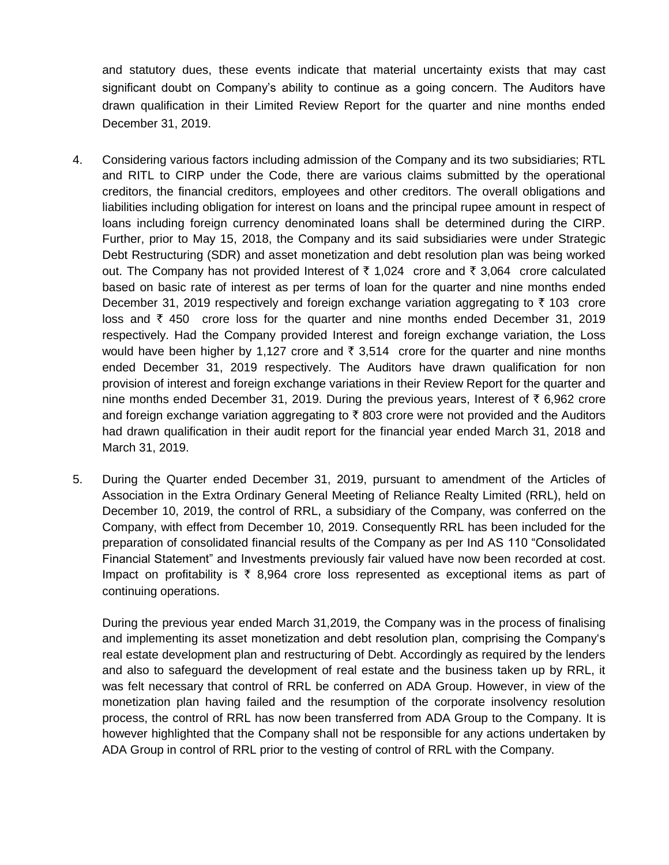and statutory dues, these events indicate that material uncertainty exists that may cast significant doubt on Company's ability to continue as a going concern. The Auditors have drawn qualification in their Limited Review Report for the quarter and nine months ended December 31, 2019.

- 4. Considering various factors including admission of the Company and its two subsidiaries; RTL and RITL to CIRP under the Code, there are various claims submitted by the operational creditors, the financial creditors, employees and other creditors. The overall obligations and liabilities including obligation for interest on loans and the principal rupee amount in respect of loans including foreign currency denominated loans shall be determined during the CIRP. Further, prior to May 15, 2018, the Company and its said subsidiaries were under Strategic Debt Restructuring (SDR) and asset monetization and debt resolution plan was being worked out. The Company has not provided Interest of  $\bar{\tau}$  1,024 crore and  $\bar{\tau}$  3,064 crore calculated based on basic rate of interest as per terms of loan for the quarter and nine months ended December 31, 2019 respectively and foreign exchange variation aggregating to  $\bar{\tau}$  103 crore loss and  $\bar{\tau}$  450 crore loss for the quarter and nine months ended December 31, 2019 respectively. Had the Company provided Interest and foreign exchange variation, the Loss would have been higher by 1,127 crore and  $\bar{\tau}$  3,514 crore for the quarter and nine months ended December 31, 2019 respectively. The Auditors have drawn qualification for non provision of interest and foreign exchange variations in their Review Report for the quarter and nine months ended December 31, 2019. During the previous years, Interest of  $\bar{\tau}$  6,962 crore and foreign exchange variation aggregating to  $\bar{\tau}$  803 crore were not provided and the Auditors had drawn qualification in their audit report for the financial year ended March 31, 2018 and March 31, 2019.
- 5. During the Quarter ended December 31, 2019, pursuant to amendment of the Articles of Association in the Extra Ordinary General Meeting of Reliance Realty Limited (RRL), held on December 10, 2019, the control of RRL, a subsidiary of the Company, was conferred on the Company, with effect from December 10, 2019. Consequently RRL has been included for the preparation of consolidated financial results of the Company as per Ind AS 110 "Consolidated Financial Statement" and Investments previously fair valued have now been recorded at cost. Impact on profitability is  $\bar{\tau}$  8,964 crore loss represented as exceptional items as part of continuing operations.

During the previous year ended March 31,2019, the Company was in the process of finalising and implementing its asset monetization and debt resolution plan, comprising the Company's real estate development plan and restructuring of Debt. Accordingly as required by the lenders and also to safeguard the development of real estate and the business taken up by RRL, it was felt necessary that control of RRL be conferred on ADA Group. However, in view of the monetization plan having failed and the resumption of the corporate insolvency resolution process, the control of RRL has now been transferred from ADA Group to the Company. It is however highlighted that the Company shall not be responsible for any actions undertaken by ADA Group in control of RRL prior to the vesting of control of RRL with the Company.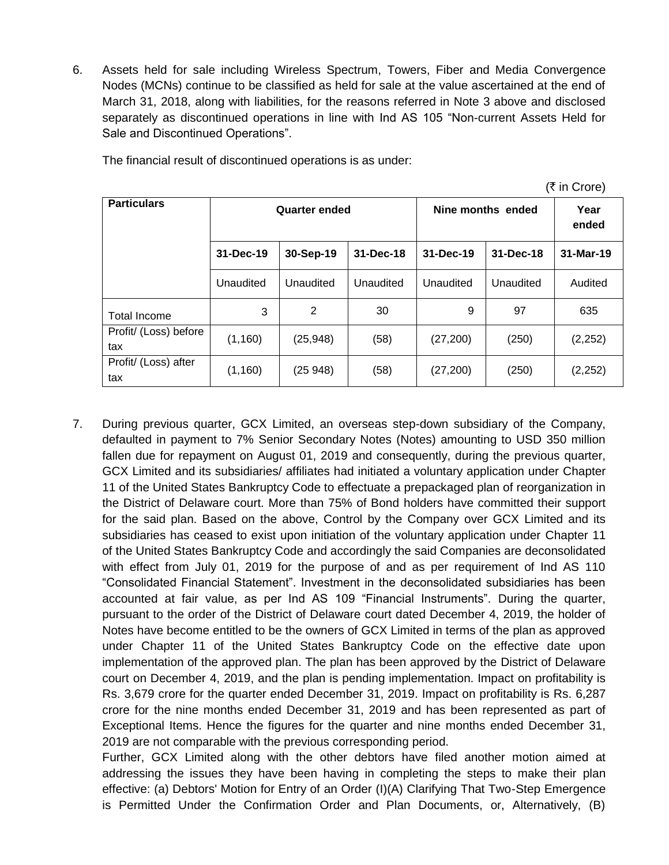6. Assets held for sale including Wireless Spectrum, Towers, Fiber and Media Convergence Nodes (MCNs) continue to be classified as held for sale at the value ascertained at the end of March 31, 2018, along with liabilities, for the reasons referred in Note 3 above and disclosed separately as discontinued operations in line with Ind AS 105 "Non-current Assets Held for Sale and Discontinued Operations".

| (र in Crore)                 |           |                      |           |                   |               |           |  |  |  |
|------------------------------|-----------|----------------------|-----------|-------------------|---------------|-----------|--|--|--|
| <b>Particulars</b>           |           | <b>Quarter ended</b> |           | Nine months ended | Year<br>ended |           |  |  |  |
|                              | 31-Dec-19 | 30-Sep-19            | 31-Dec-18 | 31-Dec-19         | 31-Dec-18     | 31-Mar-19 |  |  |  |
|                              | Unaudited | Unaudited            | Unaudited | Unaudited         | Unaudited     | Audited   |  |  |  |
| <b>Total Income</b>          | 3         | 2                    | 30        | 9                 | 97            | 635       |  |  |  |
| Profit/ (Loss) before<br>tax | (1, 160)  | (25, 948)            | (58)      | (27, 200)         | (250)         | (2, 252)  |  |  |  |
| Profit/ (Loss) after<br>tax  | (1, 160)  | (25948)              | (58)      | (27, 200)         | (250)         | (2, 252)  |  |  |  |

 $\sigma$  in  $\sigma$ 

The financial result of discontinued operations is as under:

7. During previous quarter, GCX Limited, an overseas step-down subsidiary of the Company, defaulted in payment to 7% Senior Secondary Notes (Notes) amounting to USD 350 million fallen due for repayment on August 01, 2019 and consequently, during the previous quarter, GCX Limited and its subsidiaries/ affiliates had initiated a voluntary application under Chapter 11 of the United States Bankruptcy Code to effectuate a prepackaged plan of reorganization in the District of Delaware court. More than 75% of Bond holders have committed their support for the said plan. Based on the above, Control by the Company over GCX Limited and its subsidiaries has ceased to exist upon initiation of the voluntary application under Chapter 11 of the United States Bankruptcy Code and accordingly the said Companies are deconsolidated with effect from July 01, 2019 for the purpose of and as per requirement of Ind AS 110 "Consolidated Financial Statement". Investment in the deconsolidated subsidiaries has been accounted at fair value, as per Ind AS 109 "Financial Instruments". During the quarter, pursuant to the order of the District of Delaware court dated December 4, 2019, the holder of Notes have become entitled to be the owners of GCX Limited in terms of the plan as approved under Chapter 11 of the United States Bankruptcy Code on the effective date upon implementation of the approved plan. The plan has been approved by the District of Delaware court on December 4, 2019, and the plan is pending implementation. Impact on profitability is Rs. 3,679 crore for the quarter ended December 31, 2019. Impact on profitability is Rs. 6,287 crore for the nine months ended December 31, 2019 and has been represented as part of Exceptional Items. Hence the figures for the quarter and nine months ended December 31, 2019 are not comparable with the previous corresponding period.

Further, GCX Limited along with the other debtors have filed another motion aimed at addressing the issues they have been having in completing the steps to make their plan effective: (a) Debtors' Motion for Entry of an Order (I)(A) Clarifying That Two-Step Emergence is Permitted Under the Confirmation Order and Plan Documents, or, Alternatively, (B)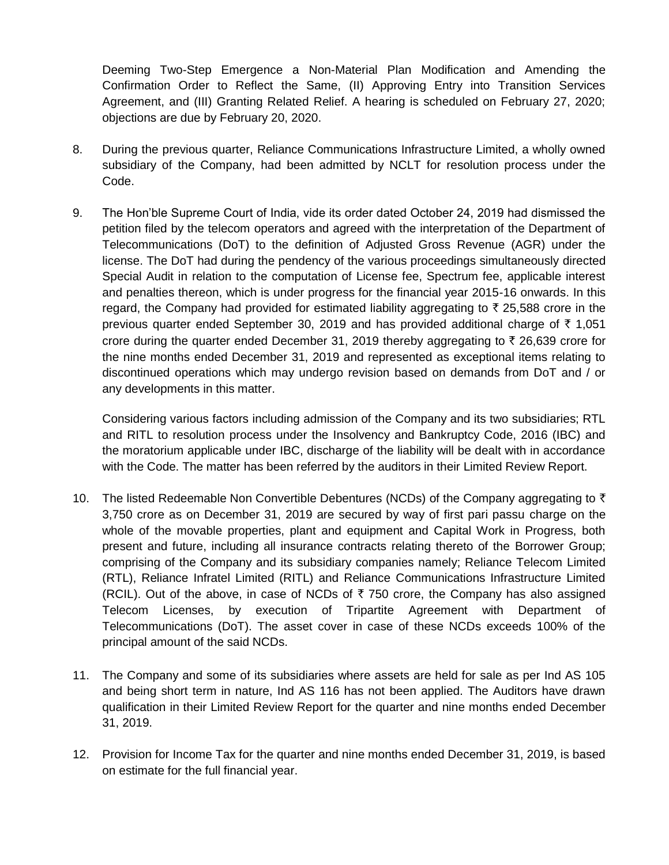Deeming Two-Step Emergence a Non-Material Plan Modification and Amending the Confirmation Order to Reflect the Same, (II) Approving Entry into Transition Services Agreement, and (III) Granting Related Relief. A hearing is scheduled on February 27, 2020; objections are due by February 20, 2020.

- 8. During the previous quarter, Reliance Communications Infrastructure Limited, a wholly owned subsidiary of the Company, had been admitted by NCLT for resolution process under the Code.
- 9. The Hon"ble Supreme Court of India, vide its order dated October 24, 2019 had dismissed the petition filed by the telecom operators and agreed with the interpretation of the Department of Telecommunications (DoT) to the definition of Adjusted Gross Revenue (AGR) under the license. The DoT had during the pendency of the various proceedings simultaneously directed Special Audit in relation to the computation of License fee, Spectrum fee, applicable interest and penalties thereon, which is under progress for the financial year 2015-16 onwards. In this regard, the Company had provided for estimated liability aggregating to  $\bar{\tau}$  25,588 crore in the previous quarter ended September 30, 2019 and has provided additional charge of  $\bar{\tau}$  1,051 crore during the quarter ended December 31, 2019 thereby aggregating to  $\bar{\tau}$  26,639 crore for the nine months ended December 31, 2019 and represented as exceptional items relating to discontinued operations which may undergo revision based on demands from DoT and / or any developments in this matter.

Considering various factors including admission of the Company and its two subsidiaries; RTL and RITL to resolution process under the Insolvency and Bankruptcy Code, 2016 (IBC) and the moratorium applicable under IBC, discharge of the liability will be dealt with in accordance with the Code. The matter has been referred by the auditors in their Limited Review Report.

- 10. The listed Redeemable Non Convertible Debentures (NCDs) of the Company aggregating to  $\bar{\tau}$ 3,750 crore as on December 31, 2019 are secured by way of first pari passu charge on the whole of the movable properties, plant and equipment and Capital Work in Progress, both present and future, including all insurance contracts relating thereto of the Borrower Group; comprising of the Company and its subsidiary companies namely; Reliance Telecom Limited (RTL), Reliance Infratel Limited (RITL) and Reliance Communications Infrastructure Limited (RCIL). Out of the above, in case of NCDs of  $\bar{\tau}$  750 crore, the Company has also assigned Telecom Licenses, by execution of Tripartite Agreement with Department of Telecommunications (DoT). The asset cover in case of these NCDs exceeds 100% of the principal amount of the said NCDs.
- 11. The Company and some of its subsidiaries where assets are held for sale as per Ind AS 105 and being short term in nature, Ind AS 116 has not been applied. The Auditors have drawn qualification in their Limited Review Report for the quarter and nine months ended December 31, 2019.
- 12. Provision for Income Tax for the quarter and nine months ended December 31, 2019, is based on estimate for the full financial year.